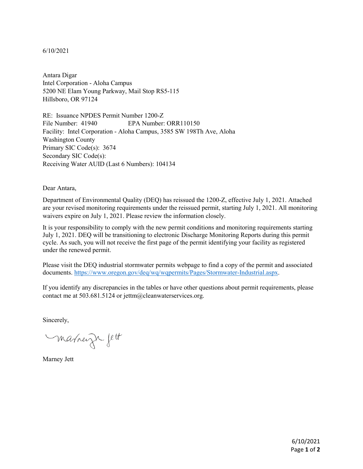## 6/10/2021

Antara Digar Intel Corporation - Aloha Campus 5200 NE Elam Young Parkway, Mail Stop RS5-115 Hillsboro, OR 97124

RE: Issuance NPDES Permit Number 1200-Z File Number: 41940 EPA Number: ORR110150 Facility: Intel Corporation - Aloha Campus, 3585 SW 198Th Ave, Aloha Washington County Primary SIC Code(s): 3674 Secondary SIC Code(s): Receiving Water AUID (Last 6 Numbers): 104134

Dear Antara,

Department of Environmental Quality (DEQ) has reissued the 1200-Z, effective July 1, 2021. Attached are your revised monitoring requirements under the reissued permit, starting July 1, 2021. All monitoring waivers expire on July 1, 2021. Please review the information closely.

It is your responsibility to comply with the new permit conditions and monitoring requirements starting July 1, 2021. DEQ will be transitioning to electronic Discharge Monitoring Reports during this permit cycle. As such, you will not receive the first page of the permit identifying your facility as registered under the renewed permit.

Please visit the DEQ industrial stormwater permits webpage to find a copy of the permit and associated documents. [https://www.oregon.gov/deq/wq/wqpermits/Pages/Stormwater-Industrial.aspx.](https://www.oregon.gov/deq/wq/wqpermits/Pages/Stormwater-Industrial.aspx)

If you identify any discrepancies in the tables or have other questions about permit requirements, please contact me at 503.681.5124 or jettm@cleanwaterservices.org.

Sincerely,

marneign fett

Marney Jett